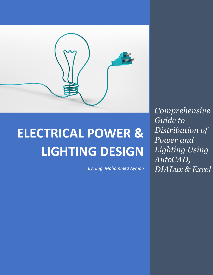

# **ELECTRICAL POWER & LIGHTING DESIGN**

*By: Eng. Mohammed Ayman*

*Comprehensive Guide to Distribution of Power and Lighting Using AutoCAD, DIALux & Excel*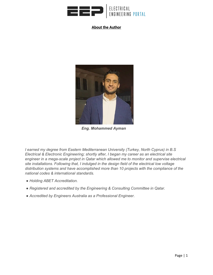

#### **About the Author**



*Eng. Mohammed Ayman*

*I earned my degree from Eastern Mediterranean University (Turkey, North Cyprus) in B.S Electrical & Electronic Engineering; shortly after, I began my career as an electrical site engineer in a mega-scale project in Qatar which allowed me to monitor and supervise electrical site installations. Following that, I indulged in the design field of the electrical low voltage distribution systems and have accomplished more than 10 projects with the compliance of the national codes & international standards.*

- *Holding ABET Accreditation.*
- *Registered and accredited by the Engineering & Consulting Committee in Qatar.*
- *Accredited by Engineers Australia as a Professional Engineer*.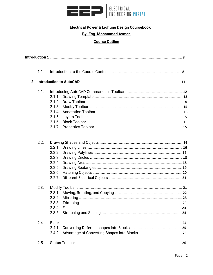

### **Electrical Power & Lighting Design Coursebook**

## **By: Eng. Mohammed Ayman**

# **Course Outline**

| 1.1. |  |  |
|------|--|--|
|      |  |  |
|      |  |  |
| 2.1. |  |  |
|      |  |  |
|      |  |  |
|      |  |  |
|      |  |  |
|      |  |  |
|      |  |  |
|      |  |  |
| 2.2. |  |  |
|      |  |  |
|      |  |  |
|      |  |  |
|      |  |  |
|      |  |  |
|      |  |  |
|      |  |  |
| 2.3. |  |  |
|      |  |  |
|      |  |  |
|      |  |  |
|      |  |  |
|      |  |  |
| 2.4. |  |  |
|      |  |  |
|      |  |  |
| 2.5. |  |  |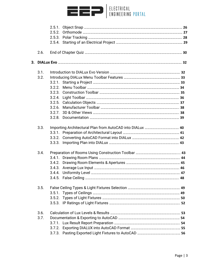

| 2.6. |  |  |
|------|--|--|
|      |  |  |
| 3.1. |  |  |
| 3.2. |  |  |
|      |  |  |
|      |  |  |
|      |  |  |
|      |  |  |
|      |  |  |
|      |  |  |
|      |  |  |
|      |  |  |
| 3.3. |  |  |
|      |  |  |
|      |  |  |
|      |  |  |
| 3.4. |  |  |
|      |  |  |
|      |  |  |
|      |  |  |
|      |  |  |
|      |  |  |
| 3.5. |  |  |
|      |  |  |
|      |  |  |
|      |  |  |
| 3.6. |  |  |
| 3.7. |  |  |
|      |  |  |
|      |  |  |
|      |  |  |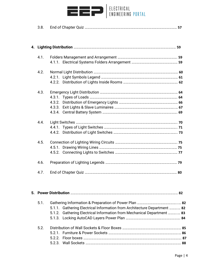

3.8. End of Chapter Quiz ……………………………………………………………………………………………… **57**

| 4.1. |  |
|------|--|
|      |  |
| 4.2. |  |
|      |  |
|      |  |
| 4.3. |  |
|      |  |
|      |  |
|      |  |
|      |  |
| 4.4. |  |
|      |  |
|      |  |
| 4.5. |  |
|      |  |
|      |  |
| 4.6. |  |
| 4.7. |  |
|      |  |

| 5.1.             |                                                                          |  |
|------------------|--------------------------------------------------------------------------|--|
|                  | 5.1.1. Gathering Electrical Information from Architecture Department  82 |  |
|                  | 5.1.2. Gathering Electrical Information from Mechanical Department  83   |  |
|                  |                                                                          |  |
| 5.2 <sub>1</sub> |                                                                          |  |
|                  |                                                                          |  |
|                  |                                                                          |  |
|                  |                                                                          |  |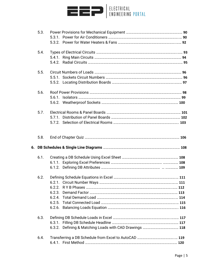

| 5.3. |  |
|------|--|
|      |  |
|      |  |
| 5.4. |  |
|      |  |
|      |  |
| 5.5. |  |
|      |  |
|      |  |
| 5.6. |  |
|      |  |
|      |  |
| 5.7. |  |
|      |  |
|      |  |
| 5.8. |  |
|      |  |
| 6.1. |  |
|      |  |
|      |  |
| 6.2. |  |
|      |  |
|      |  |
|      |  |
|      |  |
|      |  |
|      |  |
| 6.3. |  |
|      |  |
|      |  |
| 6.4. |  |
|      |  |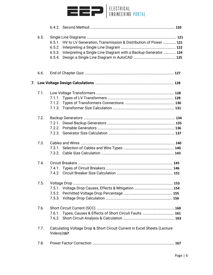

| 6.5. |            |                                                                           |  |
|------|------------|---------------------------------------------------------------------------|--|
|      |            | 6.5.1. HV to LV Generation, Transmission & Distribution of Power  121     |  |
|      |            |                                                                           |  |
|      |            | 6.5.3. Interpreting a Single Line Diagram with a Backup Generator  124    |  |
|      |            |                                                                           |  |
| 6.6. |            |                                                                           |  |
|      |            |                                                                           |  |
|      |            |                                                                           |  |
| 7.1. |            |                                                                           |  |
|      |            |                                                                           |  |
|      |            |                                                                           |  |
|      |            |                                                                           |  |
| 7.2. |            |                                                                           |  |
|      |            |                                                                           |  |
|      |            |                                                                           |  |
|      |            |                                                                           |  |
| 7.3. |            |                                                                           |  |
|      |            |                                                                           |  |
|      |            |                                                                           |  |
| 7.4. |            |                                                                           |  |
|      |            |                                                                           |  |
|      |            |                                                                           |  |
| 7.5. |            |                                                                           |  |
|      |            |                                                                           |  |
|      |            |                                                                           |  |
|      |            |                                                                           |  |
| 7.6. |            |                                                                           |  |
|      |            | 7.6.1. Types, Causes & Effects of Short Circuit Faults  161               |  |
|      |            |                                                                           |  |
| 7.7. | Videos)167 | Calculating Voltage Drop & Short Circuit Current in Excel Sheets (Lecture |  |
| 7.8. |            |                                                                           |  |
|      |            |                                                                           |  |